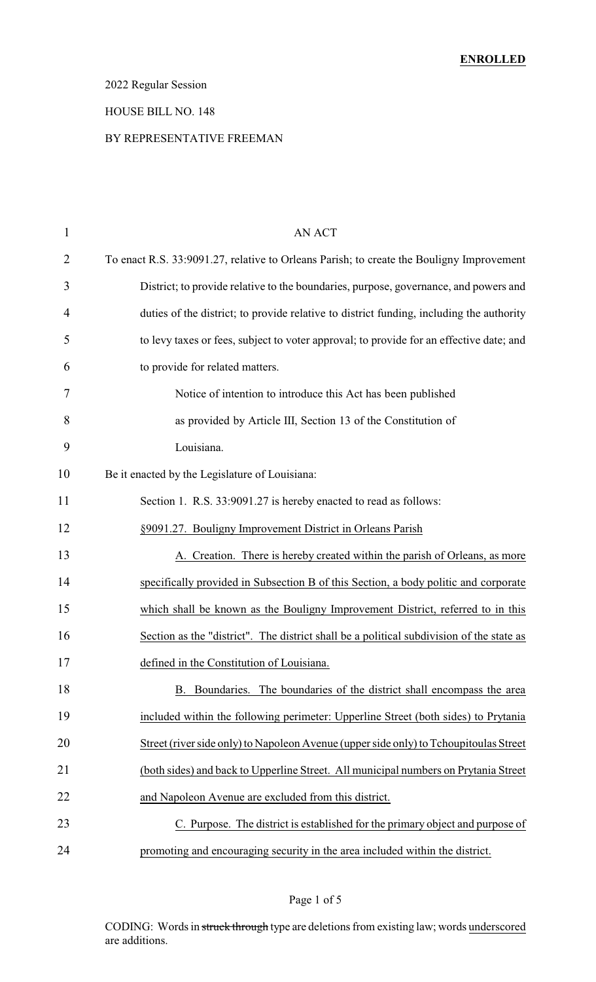#### 2022 Regular Session

#### HOUSE BILL NO. 148

#### BY REPRESENTATIVE FREEMAN

| $\mathbf{1}$   | <b>AN ACT</b>                                                                            |
|----------------|------------------------------------------------------------------------------------------|
| $\overline{2}$ | To enact R.S. 33:9091.27, relative to Orleans Parish; to create the Bouligny Improvement |
| 3              | District; to provide relative to the boundaries, purpose, governance, and powers and     |
| 4              | duties of the district; to provide relative to district funding, including the authority |
| 5              | to levy taxes or fees, subject to voter approval; to provide for an effective date; and  |
| 6              | to provide for related matters.                                                          |
| 7              | Notice of intention to introduce this Act has been published                             |
| 8              | as provided by Article III, Section 13 of the Constitution of                            |
| 9              | Louisiana.                                                                               |
| 10             | Be it enacted by the Legislature of Louisiana:                                           |
| 11             | Section 1. R.S. 33:9091.27 is hereby enacted to read as follows:                         |
| 12             | §9091.27. Bouligny Improvement District in Orleans Parish                                |
| 13             | A. Creation. There is hereby created within the parish of Orleans, as more               |
| 14             | specifically provided in Subsection B of this Section, a body politic and corporate      |
| 15             | which shall be known as the Bouligny Improvement District, referred to in this           |
| 16             | Section as the "district". The district shall be a political subdivision of the state as |
| 17             | defined in the Constitution of Louisiana                                                 |
| 18             | B. Boundaries. The boundaries of the district shall encompass the area                   |
| 19             | included within the following perimeter: Upperline Street (both sides) to Prytania       |
| 20             | Street (river side only) to Napoleon Avenue (upper side only) to Tchoupitoulas Street    |
| 21             | (both sides) and back to Upperline Street. All municipal numbers on Prytania Street      |
| 22             | and Napoleon Avenue are excluded from this district.                                     |
| 23             | C. Purpose. The district is established for the primary object and purpose of            |
| 24             | promoting and encouraging security in the area included within the district.             |

# Page 1 of 5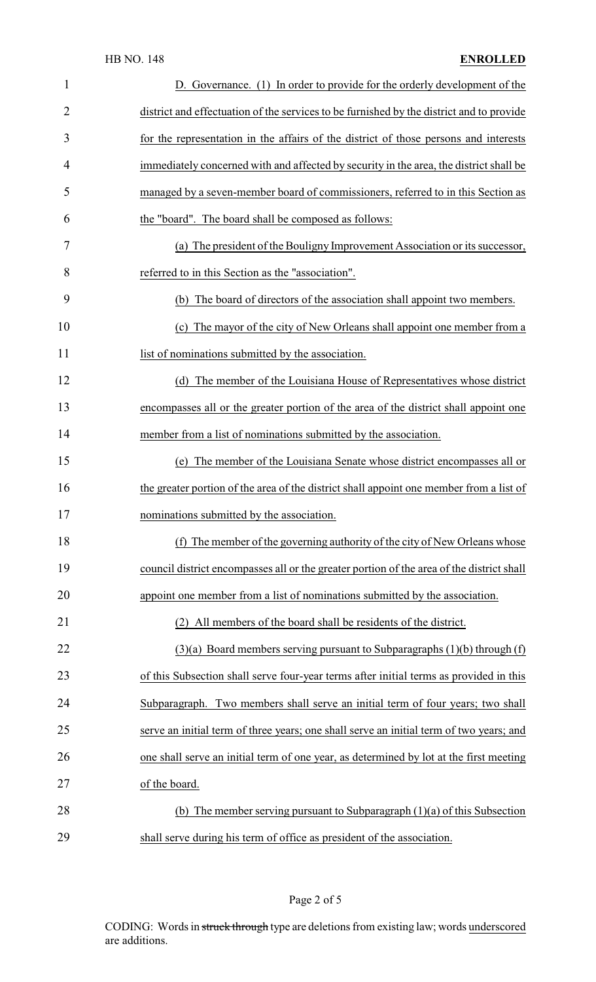### HB NO. 148 **ENROLLED**

| $\mathbf{1}$   | D. Governance. (1) In order to provide for the orderly development of the                 |
|----------------|-------------------------------------------------------------------------------------------|
| $\overline{2}$ | district and effectuation of the services to be furnished by the district and to provide  |
| 3              | for the representation in the affairs of the district of those persons and interests      |
| 4              | immediately concerned with and affected by security in the area, the district shall be    |
| 5              | managed by a seven-member board of commissioners, referred to in this Section as          |
| 6              | the "board". The board shall be composed as follows:                                      |
| 7              | (a) The president of the Bouligny Improvement Association or its successor,               |
| 8              | referred to in this Section as the "association".                                         |
| 9              | (b) The board of directors of the association shall appoint two members.                  |
| 10             | (c) The mayor of the city of New Orleans shall appoint one member from a                  |
| 11             | list of nominations submitted by the association.                                         |
| 12             | (d) The member of the Louisiana House of Representatives whose district                   |
| 13             | encompasses all or the greater portion of the area of the district shall appoint one      |
| 14             | member from a list of nominations submitted by the association.                           |
| 15             | (e) The member of the Louisiana Senate whose district encompasses all or                  |
| 16             | the greater portion of the area of the district shall appoint one member from a list of   |
| 17             | nominations submitted by the association                                                  |
| 18             | (f) The member of the governing authority of the city of New Orleans whose                |
| 19             | council district encompasses all or the greater portion of the area of the district shall |
| 20             | appoint one member from a list of nominations submitted by the association.               |
| 21             | All members of the board shall be residents of the district.                              |
| 22             | $(3)(a)$ Board members serving pursuant to Subparagraphs $(1)(b)$ through $(f)$           |
| 23             | of this Subsection shall serve four-year terms after initial terms as provided in this    |
| 24             | Subparagraph. Two members shall serve an initial term of four years; two shall            |
| 25             | serve an initial term of three years; one shall serve an initial term of two years; and   |
| 26             | one shall serve an initial term of one year, as determined by lot at the first meeting    |
| 27             | of the board.                                                                             |
| 28             | (b) The member serving pursuant to Subparagraph $(1)(a)$ of this Subsection               |
| 29             | shall serve during his term of office as president of the association.                    |

# Page 2 of 5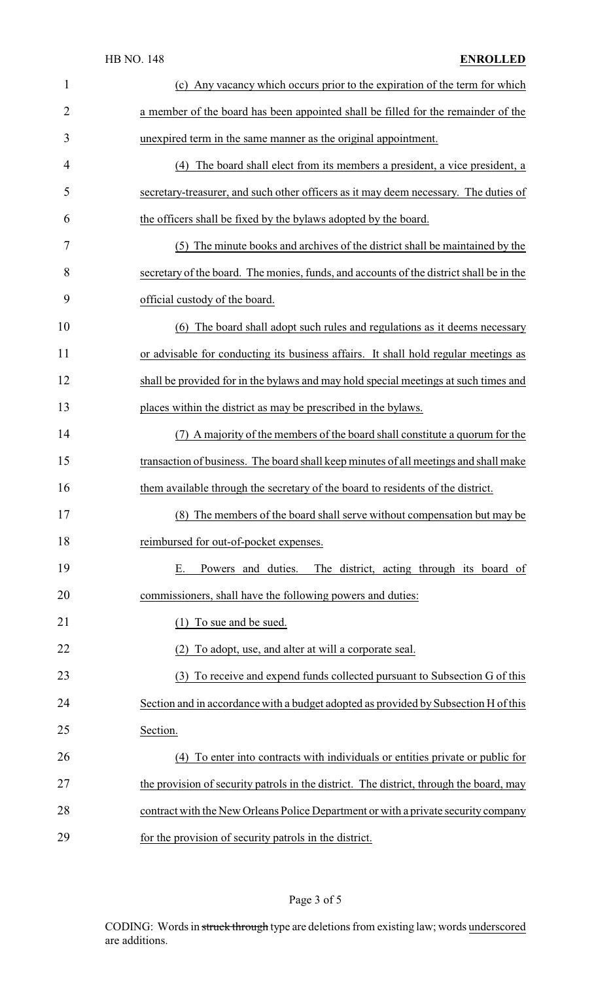#### HB NO. 148 **ENROLLED**

| $\mathbf{1}$   | (c) Any vacancy which occurs prior to the expiration of the term for which              |
|----------------|-----------------------------------------------------------------------------------------|
| $\overline{2}$ | a member of the board has been appointed shall be filled for the remainder of the       |
| 3              | unexpired term in the same manner as the original appointment.                          |
| 4              | The board shall elect from its members a president, a vice president, a<br>(4)          |
| 5              | secretary-treasurer, and such other officers as it may deem necessary. The duties of    |
| 6              | the officers shall be fixed by the bylaws adopted by the board.                         |
| 7              | (5) The minute books and archives of the district shall be maintained by the            |
| 8              | secretary of the board. The monies, funds, and accounts of the district shall be in the |
| 9              | official custody of the board.                                                          |
| 10             | The board shall adopt such rules and regulations as it deems necessary<br>(6)           |
| 11             | or advisable for conducting its business affairs. It shall hold regular meetings as     |
| 12             | shall be provided for in the bylaws and may hold special meetings at such times and     |
| 13             | places within the district as may be prescribed in the bylaws.                          |
| 14             | (7) A majority of the members of the board shall constitute a quorum for the            |
| 15             | transaction of business. The board shall keep minutes of all meetings and shall make    |
| 16             | them available through the secretary of the board to residents of the district.         |
| 17             | (8) The members of the board shall serve without compensation but may be                |
| 18             | reimbursed for out-of-pocket expenses.                                                  |
| 19             | Powers and duties.<br>The district, acting through its board of<br>Ε.                   |
| 20             | commissioners, shall have the following powers and duties:                              |
| 21             | (1) To sue and be sued.                                                                 |
| 22             | To adopt, use, and alter at will a corporate seal.<br>(2)                               |
| 23             | (3) To receive and expend funds collected pursuant to Subsection G of this              |
| 24             | Section and in accordance with a budget adopted as provided by Subsection H of this     |
| 25             | Section.                                                                                |
| 26             | (4) To enter into contracts with individuals or entities private or public for          |
| 27             | the provision of security patrols in the district. The district, through the board, may |
| 28             | contract with the New Orleans Police Department or with a private security company      |
| 29             | for the provision of security patrols in the district.                                  |

# Page 3 of 5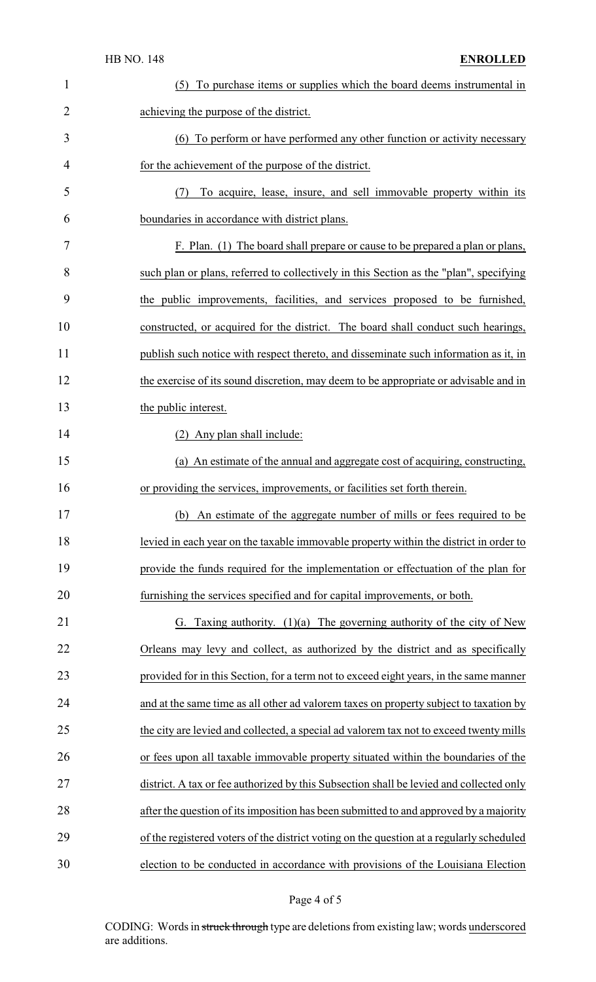| $\mathbf{1}$   | (5) To purchase items or supplies which the board deems instrumental in                  |
|----------------|------------------------------------------------------------------------------------------|
| $\overline{2}$ | achieving the purpose of the district.                                                   |
| 3              | (6) To perform or have performed any other function or activity necessary                |
| 4              | for the achievement of the purpose of the district.                                      |
| 5              | To acquire, lease, insure, and sell immovable property within its<br>(7)                 |
| 6              | boundaries in accordance with district plans.                                            |
| 7              | F. Plan. (1) The board shall prepare or cause to be prepared a plan or plans,            |
| 8              | such plan or plans, referred to collectively in this Section as the "plan", specifying   |
| 9              | the public improvements, facilities, and services proposed to be furnished,              |
| 10             | constructed, or acquired for the district. The board shall conduct such hearings,        |
| 11             | publish such notice with respect thereto, and disseminate such information as it, in     |
| 12             | the exercise of its sound discretion, may deem to be appropriate or advisable and in     |
| 13             | the public interest.                                                                     |
| 14             | (2) Any plan shall include:                                                              |
| 15             | (a) An estimate of the annual and aggregate cost of acquiring, constructing,             |
| 16             | or providing the services, improvements, or facilities set forth therein.                |
| 17             | (b) An estimate of the aggregate number of mills or fees required to be                  |
| 18             | levied in each year on the taxable immovable property within the district in order to    |
| 19             | provide the funds required for the implementation or effectuation of the plan for        |
| 20             | furnishing the services specified and for capital improvements, or both.                 |
| 21             | Taxing authority. $(1)(a)$ The governing authority of the city of New<br>G.              |
| 22             | Orleans may levy and collect, as authorized by the district and as specifically          |
| 23             | provided for in this Section, for a term not to exceed eight years, in the same manner   |
| 24             | and at the same time as all other ad valorem taxes on property subject to taxation by    |
| 25             | the city are levied and collected, a special ad valorem tax not to exceed twenty mills   |
| 26             | or fees upon all taxable immovable property situated within the boundaries of the        |
| 27             | district. A tax or fee authorized by this Subsection shall be levied and collected only  |
| 28             | after the question of its imposition has been submitted to and approved by a majority    |
| 29             | of the registered voters of the district voting on the question at a regularly scheduled |
| 30             | election to be conducted in accordance with provisions of the Louisiana Election         |

# Page 4 of 5